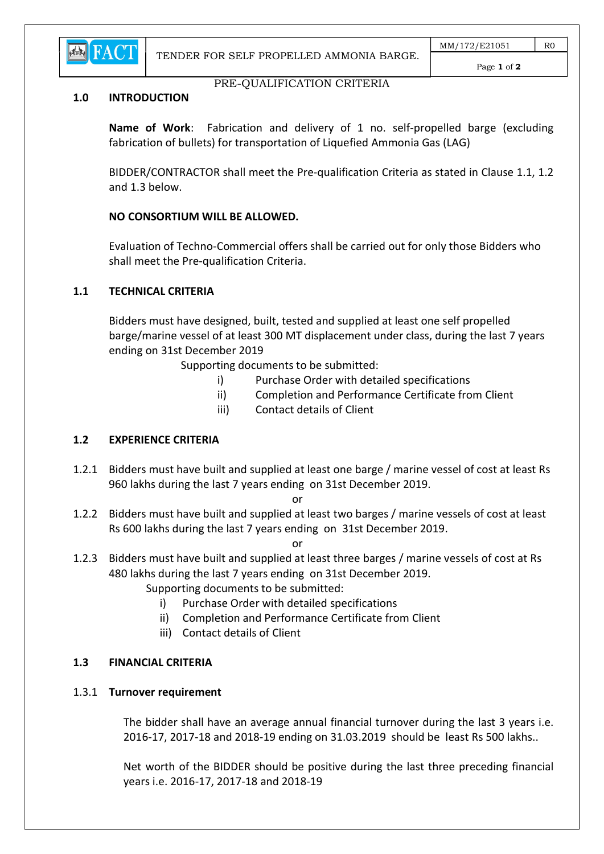

#### Page 1 of 2

#### PRE-QUALIFICATION CRITERIA

#### 1.0 INTRODUCTION

Name of Work: Fabrication and delivery of 1 no. self-propelled barge (excluding fabrication of bullets) for transportation of Liquefied Ammonia Gas (LAG)

 BIDDER/CONTRACTOR shall meet the Pre-qualification Criteria as stated in Clause 1.1, 1.2 and 1.3 below.

### NO CONSORTIUM WILL BE ALLOWED.

 Evaluation of Techno-Commercial offers shall be carried out for only those Bidders who shall meet the Pre-qualification Criteria.

#### 1.1 TECHNICAL CRITERIA

 Bidders must have designed, built, tested and supplied at least one self propelled barge/marine vessel of at least 300 MT displacement under class, during the last 7 years ending on 31st December 2019

Supporting documents to be submitted:

- i) Purchase Order with detailed specifications
- ii) Completion and Performance Certificate from Client
- iii) Contact details of Client

# 1.2 EXPERIENCE CRITERIA

1.2.1 Bidders must have built and supplied at least one barge / marine vessel of cost at least Rs 960 lakhs during the last 7 years ending on 31st December 2019.

**or** and the contract of the contract of the contract of the contract of the contract of the contract of the contract of the contract of the contract of the contract of the contract of the contract of the contract of the c

1.2.2 Bidders must have built and supplied at least two barges / marine vessels of cost at least Rs 600 lakhs during the last 7 years ending on 31st December 2019.

**or** and the contract of the contract of the contract of the contract of the contract of the contract of the contract of the contract of the contract of the contract of the contract of the contract of the contract of the c

1.2.3 Bidders must have built and supplied at least three barges / marine vessels of cost at Rs 480 lakhs during the last 7 years ending on 31st December 2019.

Supporting documents to be submitted:

- i) Purchase Order with detailed specifications
- ii) Completion and Performance Certificate from Client
- iii) Contact details of Client

### 1.3 FINANCIAL CRITERIA

#### 1.3.1 Turnover requirement

 The bidder shall have an average annual financial turnover during the last 3 years i.e. 2016-17, 2017-18 and 2018-19 ending on 31.03.2019 should be least Rs 500 lakhs..

 Net worth of the BIDDER should be positive during the last three preceding financial years i.e. 2016-17, 2017-18 and 2018-19